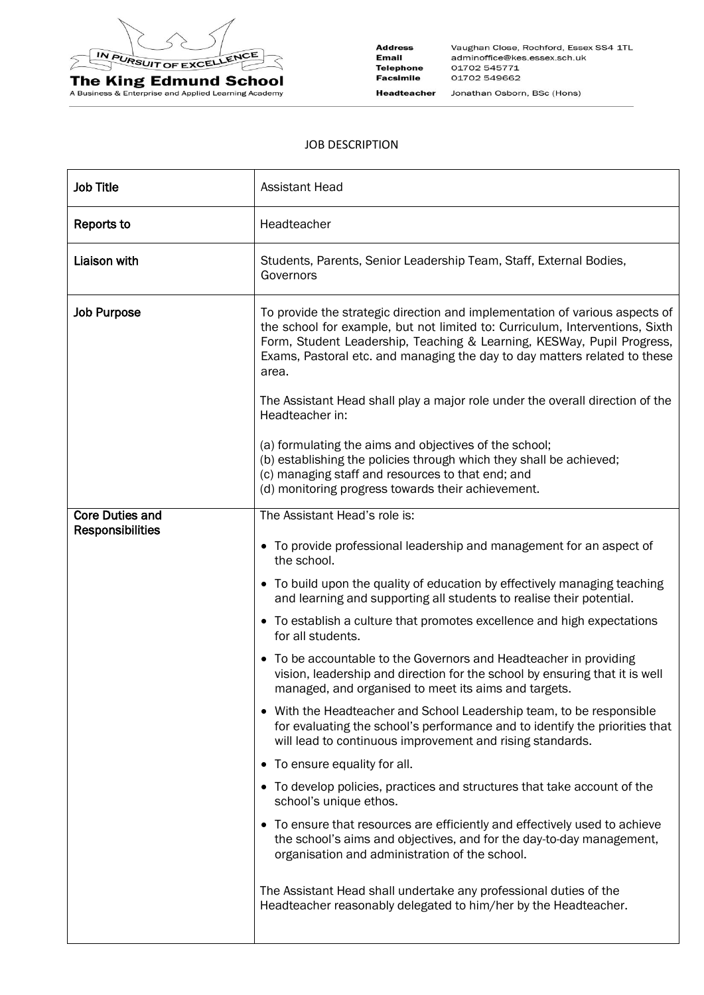

**The King Edmund School**<br>A Business & Enterprise and Applied Learning Academy

**Address** Vaughan Close, Rochford, Essex SS4 1TL Email adminoffice@kes.essex.sch.uk **Telephone** 01702 545771 Facsimile 01702 549662 **Headteacher** Jonathan Osborn, BSc (Hons)

## JOB DESCRIPTION

| <b>Job Title</b>        | <b>Assistant Head</b>                                                                                                                                                                                                                                                                                                       |  |  |  |
|-------------------------|-----------------------------------------------------------------------------------------------------------------------------------------------------------------------------------------------------------------------------------------------------------------------------------------------------------------------------|--|--|--|
| Reports to              | Headteacher                                                                                                                                                                                                                                                                                                                 |  |  |  |
| <b>Liaison with</b>     | Students, Parents, Senior Leadership Team, Staff, External Bodies,<br>Governors                                                                                                                                                                                                                                             |  |  |  |
| <b>Job Purpose</b>      | To provide the strategic direction and implementation of various aspects of<br>the school for example, but not limited to: Curriculum, Interventions, Sixth<br>Form, Student Leadership, Teaching & Learning, KESWay, Pupil Progress,<br>Exams, Pastoral etc. and managing the day to day matters related to these<br>area. |  |  |  |
|                         | The Assistant Head shall play a major role under the overall direction of the<br>Headteacher in:                                                                                                                                                                                                                            |  |  |  |
|                         | (a) formulating the aims and objectives of the school;<br>(b) establishing the policies through which they shall be achieved;<br>(c) managing staff and resources to that end; and<br>(d) monitoring progress towards their achievement.                                                                                    |  |  |  |
| <b>Core Duties and</b>  | The Assistant Head's role is:                                                                                                                                                                                                                                                                                               |  |  |  |
| <b>Responsibilities</b> | • To provide professional leadership and management for an aspect of<br>the school.                                                                                                                                                                                                                                         |  |  |  |
|                         | • To build upon the quality of education by effectively managing teaching<br>and learning and supporting all students to realise their potential.                                                                                                                                                                           |  |  |  |
|                         | • To establish a culture that promotes excellence and high expectations<br>for all students.                                                                                                                                                                                                                                |  |  |  |
|                         | • To be accountable to the Governors and Headteacher in providing<br>vision, leadership and direction for the school by ensuring that it is well<br>managed, and organised to meet its aims and targets.                                                                                                                    |  |  |  |
|                         | • With the Headteacher and School Leadership team, to be responsible<br>for evaluating the school's performance and to identify the priorities that<br>will lead to continuous improvement and rising standards.                                                                                                            |  |  |  |
|                         | • To ensure equality for all.                                                                                                                                                                                                                                                                                               |  |  |  |
|                         | • To develop policies, practices and structures that take account of the<br>school's unique ethos.                                                                                                                                                                                                                          |  |  |  |
|                         | • To ensure that resources are efficiently and effectively used to achieve<br>the school's aims and objectives, and for the day-to-day management,<br>organisation and administration of the school.                                                                                                                        |  |  |  |
|                         | The Assistant Head shall undertake any professional duties of the<br>Headteacher reasonably delegated to him/her by the Headteacher.                                                                                                                                                                                        |  |  |  |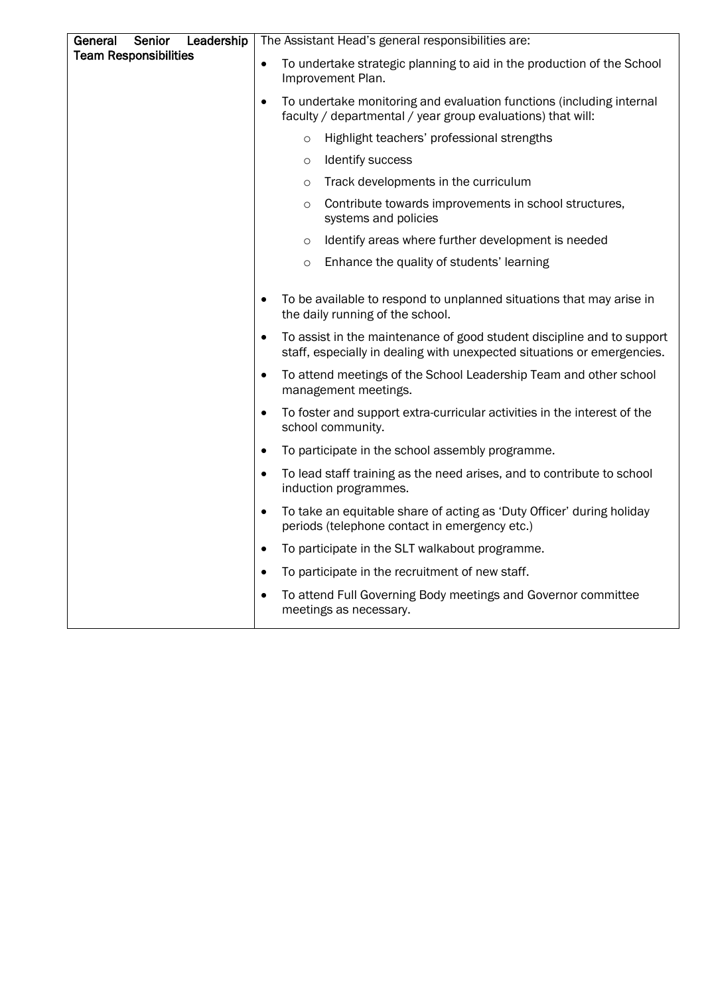| General<br>Senior<br>Leadership | The Assistant Head's general responsibilities are:                                                                                                             |                                                                                                                                     |  |  |
|---------------------------------|----------------------------------------------------------------------------------------------------------------------------------------------------------------|-------------------------------------------------------------------------------------------------------------------------------------|--|--|
| <b>Team Responsibilities</b>    | $\bullet$                                                                                                                                                      | To undertake strategic planning to aid in the production of the School<br>Improvement Plan.                                         |  |  |
|                                 | $\bullet$                                                                                                                                                      | To undertake monitoring and evaluation functions (including internal<br>faculty / departmental / year group evaluations) that will: |  |  |
|                                 |                                                                                                                                                                | Highlight teachers' professional strengths<br>$\circ$                                                                               |  |  |
|                                 |                                                                                                                                                                | Identify success<br>$\circ$                                                                                                         |  |  |
|                                 |                                                                                                                                                                | Track developments in the curriculum<br>$\circ$                                                                                     |  |  |
|                                 |                                                                                                                                                                | Contribute towards improvements in school structures,<br>$\circ$<br>systems and policies                                            |  |  |
|                                 |                                                                                                                                                                | Identify areas where further development is needed<br>$\circ$                                                                       |  |  |
|                                 |                                                                                                                                                                | Enhance the quality of students' learning<br>$\circ$                                                                                |  |  |
|                                 | $\bullet$                                                                                                                                                      | To be available to respond to unplanned situations that may arise in<br>the daily running of the school.                            |  |  |
|                                 | To assist in the maintenance of good student discipline and to support<br>$\bullet$<br>staff, especially in dealing with unexpected situations or emergencies. |                                                                                                                                     |  |  |
|                                 | $\bullet$                                                                                                                                                      | To attend meetings of the School Leadership Team and other school<br>management meetings.                                           |  |  |
|                                 | $\bullet$                                                                                                                                                      | To foster and support extra-curricular activities in the interest of the<br>school community.                                       |  |  |
|                                 | $\bullet$                                                                                                                                                      | To participate in the school assembly programme.                                                                                    |  |  |
|                                 |                                                                                                                                                                | To lead staff training as the need arises, and to contribute to school<br>induction programmes.                                     |  |  |
|                                 | $\bullet$                                                                                                                                                      | To take an equitable share of acting as 'Duty Officer' during holiday<br>periods (telephone contact in emergency etc.)              |  |  |
|                                 | $\bullet$                                                                                                                                                      | To participate in the SLT walkabout programme.                                                                                      |  |  |
|                                 | $\bullet$                                                                                                                                                      | To participate in the recruitment of new staff.                                                                                     |  |  |
|                                 | $\bullet$                                                                                                                                                      | To attend Full Governing Body meetings and Governor committee<br>meetings as necessary.                                             |  |  |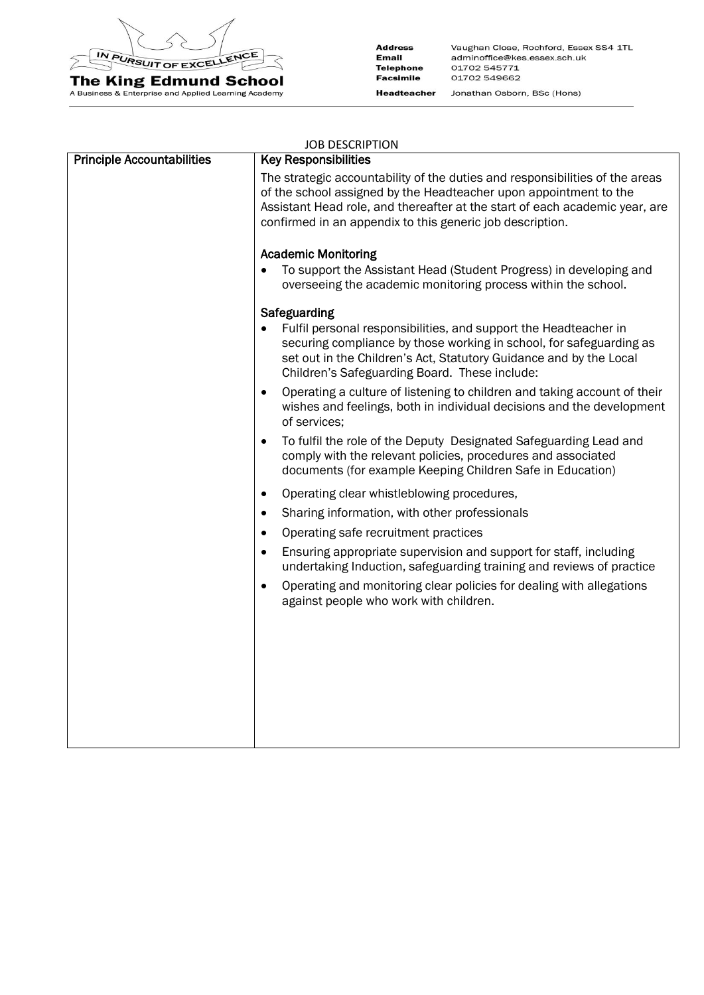

**The King Edmund School**<br>A Business & Enterprise and Applied Learning Academy

**Address** Vaughan Close, Rochford, Essex SS4 1TL Email adminoffice@kes.essex.sch.uk **Telephone** 01702 545771 Facsimile 01702 549662 **Headteacher** Jonathan Osborn, BSc (Hons)

| <b>JOB DESCRIPTION</b>            |                                                                                                                                                                                                                                                                                               |  |  |  |
|-----------------------------------|-----------------------------------------------------------------------------------------------------------------------------------------------------------------------------------------------------------------------------------------------------------------------------------------------|--|--|--|
| <b>Principle Accountabilities</b> | <b>Key Responsibilities</b>                                                                                                                                                                                                                                                                   |  |  |  |
|                                   | The strategic accountability of the duties and responsibilities of the areas<br>of the school assigned by the Headteacher upon appointment to the<br>Assistant Head role, and thereafter at the start of each academic year, are<br>confirmed in an appendix to this generic job description. |  |  |  |
|                                   | <b>Academic Monitoring</b>                                                                                                                                                                                                                                                                    |  |  |  |
|                                   | To support the Assistant Head (Student Progress) in developing and<br>$\bullet$<br>overseeing the academic monitoring process within the school.                                                                                                                                              |  |  |  |
|                                   | Safeguarding                                                                                                                                                                                                                                                                                  |  |  |  |
|                                   | Fulfil personal responsibilities, and support the Headteacher in<br>$\bullet$<br>securing compliance by those working in school, for safeguarding as<br>set out in the Children's Act, Statutory Guidance and by the Local<br>Children's Safeguarding Board. These include:                   |  |  |  |
|                                   | Operating a culture of listening to children and taking account of their<br>$\bullet$<br>wishes and feelings, both in individual decisions and the development<br>of services;                                                                                                                |  |  |  |
|                                   | To fulfil the role of the Deputy Designated Safeguarding Lead and<br>$\bullet$<br>comply with the relevant policies, procedures and associated<br>documents (for example Keeping Children Safe in Education)                                                                                  |  |  |  |
|                                   | Operating clear whistleblowing procedures,<br>$\bullet$                                                                                                                                                                                                                                       |  |  |  |
|                                   | Sharing information, with other professionals<br>$\bullet$                                                                                                                                                                                                                                    |  |  |  |
|                                   | Operating safe recruitment practices<br>$\bullet$                                                                                                                                                                                                                                             |  |  |  |
|                                   | Ensuring appropriate supervision and support for staff, including<br>$\bullet$<br>undertaking Induction, safeguarding training and reviews of practice                                                                                                                                        |  |  |  |
|                                   | Operating and monitoring clear policies for dealing with allegations<br>$\bullet$<br>against people who work with children.                                                                                                                                                                   |  |  |  |
|                                   |                                                                                                                                                                                                                                                                                               |  |  |  |
|                                   |                                                                                                                                                                                                                                                                                               |  |  |  |
|                                   |                                                                                                                                                                                                                                                                                               |  |  |  |
|                                   |                                                                                                                                                                                                                                                                                               |  |  |  |
|                                   |                                                                                                                                                                                                                                                                                               |  |  |  |
|                                   |                                                                                                                                                                                                                                                                                               |  |  |  |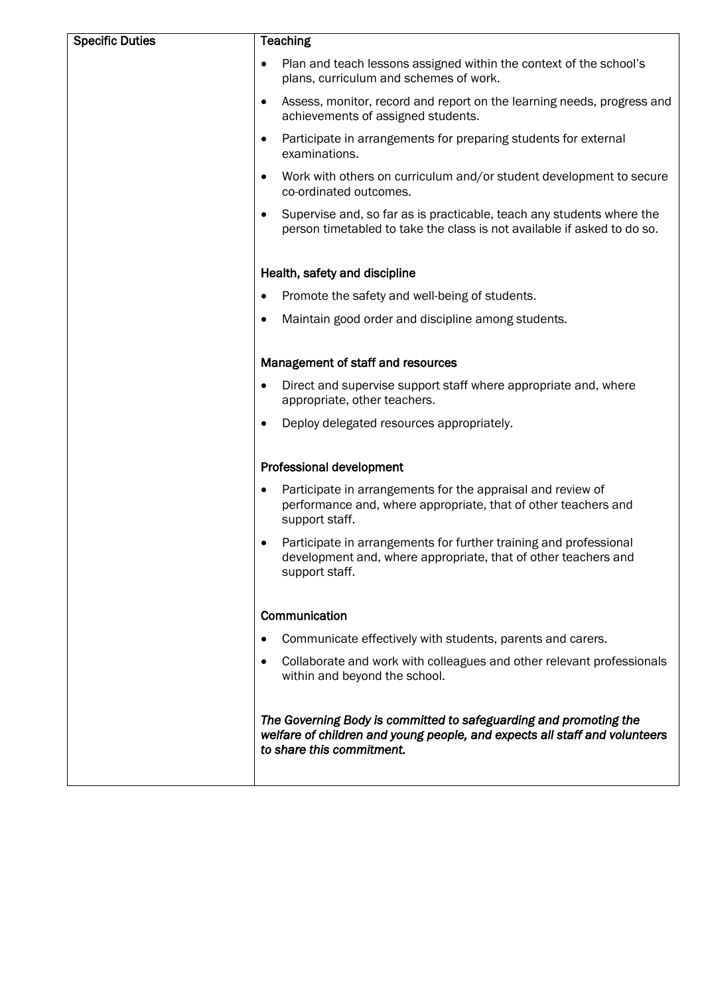| <b>Specific Duties</b> | <b>Teaching</b>                                                                                                                                                              |  |  |
|------------------------|------------------------------------------------------------------------------------------------------------------------------------------------------------------------------|--|--|
|                        | Plan and teach lessons assigned within the context of the school's<br>plans, curriculum and schemes of work.                                                                 |  |  |
|                        | Assess, monitor, record and report on the learning needs, progress and<br>$\bullet$<br>achievements of assigned students.                                                    |  |  |
|                        | Participate in arrangements for preparing students for external<br>$\bullet$<br>examinations.                                                                                |  |  |
|                        | Work with others on curriculum and/or student development to secure<br>$\bullet$<br>co-ordinated outcomes.                                                                   |  |  |
|                        | Supervise and, so far as is practicable, teach any students where the<br>person timetabled to take the class is not available if asked to do so.                             |  |  |
|                        | Health, safety and discipline                                                                                                                                                |  |  |
|                        | Promote the safety and well-being of students.<br>٠                                                                                                                          |  |  |
|                        | Maintain good order and discipline among students.<br>$\bullet$                                                                                                              |  |  |
|                        | Management of staff and resources                                                                                                                                            |  |  |
|                        | Direct and supervise support staff where appropriate and, where<br>$\bullet$<br>appropriate, other teachers.                                                                 |  |  |
|                        | Deploy delegated resources appropriately.<br>$\bullet$                                                                                                                       |  |  |
|                        | <b>Professional development</b>                                                                                                                                              |  |  |
|                        | Participate in arrangements for the appraisal and review of<br>performance and, where appropriate, that of other teachers and<br>support staff.                              |  |  |
|                        | Participate in arrangements for further training and professional<br>development and, where appropriate, that of other teachers and<br>support staff.                        |  |  |
|                        | Communication                                                                                                                                                                |  |  |
|                        | Communicate effectively with students, parents and carers.                                                                                                                   |  |  |
|                        | Collaborate and work with colleagues and other relevant professionals<br>$\bullet$<br>within and beyond the school.                                                          |  |  |
|                        | The Governing Body is committed to safeguarding and promoting the<br>welfare of children and young people, and expects all staff and volunteers<br>to share this commitment. |  |  |